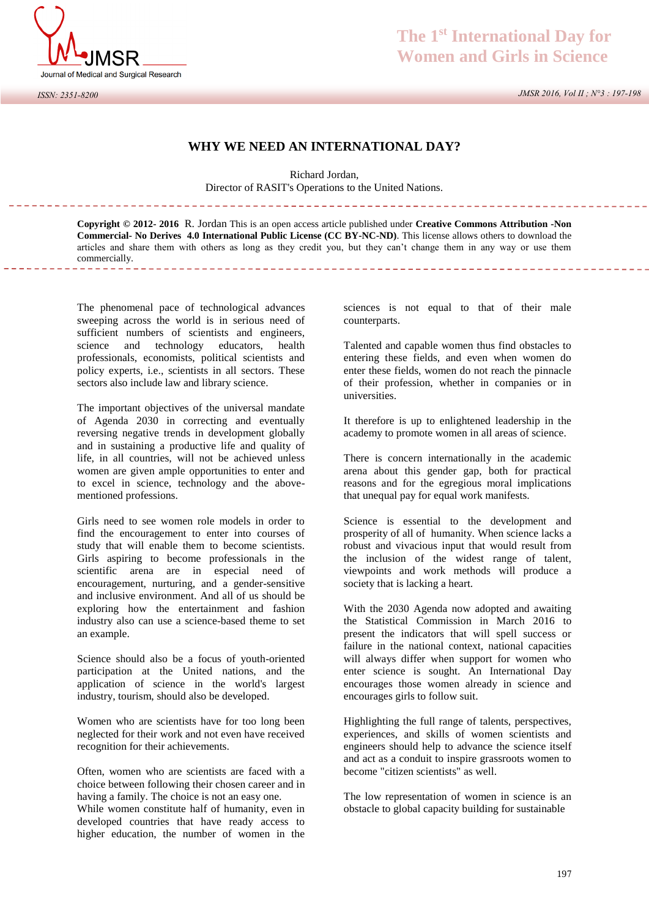

## *ISSN: 2351-8200*

## **The 1st International Day for Women and Girls in Science**

 *JMSR 2016, Vol II ; N°3 : 197-198*

## **WHY WE NEED AN INTERNATIONAL DAY?**

Richard Jordan, Director of RASIT's Operations to the United Nations.

**Copyright © 2012- 2016** R. Jordan This is an open access article published under **Creative Commons Attribution -Non Commercial- No Derives 4.0 International Public License (CC BY-NC-ND)**. This license allows others to download the articles and share them with others as long as they credit you, but they can't change them in any way or use them commercially.

The phenomenal pace of technological advances sweeping across the world is in serious need of sufficient numbers of scientists and engineers, science and technology educators, health professionals, economists, political scientists and policy experts, i.e., scientists in all sectors. These sectors also include law and library science.

The important objectives of the universal mandate of Agenda 2030 in correcting and eventually reversing negative trends in development globally and in sustaining a productive life and quality of life, in all countries, will not be achieved unless women are given ample opportunities to enter and to excel in science, technology and the abovementioned professions.

Girls need to see women role models in order to find the encouragement to enter into courses of study that will enable them to become scientists. Girls aspiring to become professionals in the scientific arena are in especial need of encouragement, nurturing, and a gender-sensitive and inclusive environment. And all of us should be exploring how the entertainment and fashion industry also can use a science-based theme to set an example.

Science should also be a focus of youth-oriented participation at the United nations, and the application of science in the world's largest industry, tourism, should also be developed.

Women who are scientists have for too long been neglected for their work and not even have received recognition for their achievements.

Often, women who are scientists are faced with a choice between following their chosen career and in having a family. The choice is not an easy one.

While women constitute half of humanity, even in developed countries that have ready access to higher education, the number of women in the

sciences is not equal to that of their male counterparts.

Talented and capable women thus find obstacles to entering these fields, and even when women do enter these fields, women do not reach the pinnacle of their profession, whether in companies or in universities.

It therefore is up to enlightened leadership in the academy to promote women in all areas of science.

There is concern internationally in the academic arena about this gender gap, both for practical reasons and for the egregious moral implications that unequal pay for equal work manifests.

Science is essential to the development and prosperity of all of humanity. When science lacks a robust and vivacious input that would result from the inclusion of the widest range of talent, viewpoints and work methods will produce a society that is lacking a heart.

With the 2030 Agenda now adopted and awaiting the Statistical Commission in March 2016 to present the indicators that will spell success or failure in the national context, national capacities will always differ when support for women who enter science is sought. An International Day encourages those women already in science and encourages girls to follow suit.

Highlighting the full range of talents, perspectives, experiences, and skills of women scientists and engineers should help to advance the science itself and act as a conduit to inspire grassroots women to become "citizen scientists" as well.

The low representation of women in science is an obstacle to global capacity building for sustainable